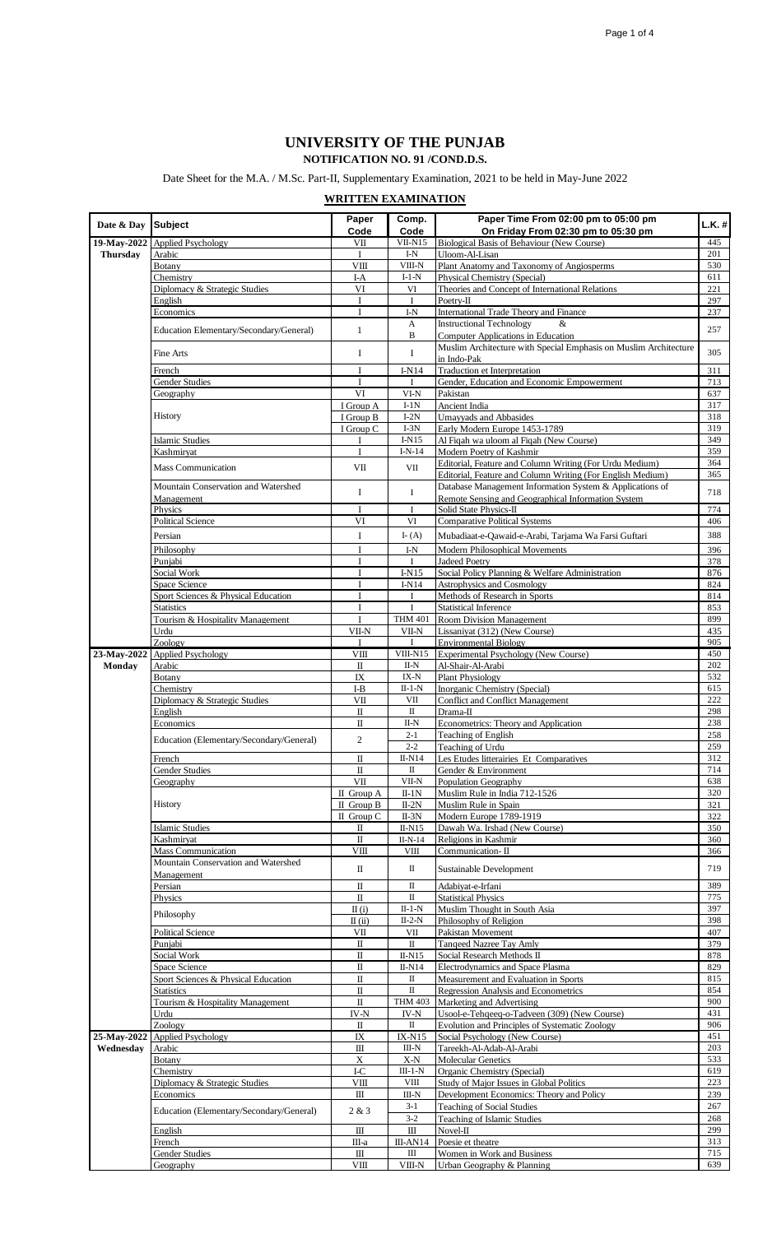## **UNIVERSITY OF THE PUNJAB**

## **NOTIFICATION NO. 91 /COND.D.S.**

Date Sheet for the M.A. / M.Sc. Part-II, Supplementary Examination, 2021 to be held in May-June 2022

**WRITTEN EXAMINATION**

| Date & Day Subject |                                          | Paper                | Comp.             | Paper Time From 02:00 pm to 05:00 pm                             | L.K. #     |
|--------------------|------------------------------------------|----------------------|-------------------|------------------------------------------------------------------|------------|
| 19-May-2022        |                                          | Code<br>VΠ           | Code<br>VII-N15   | On Friday From 02:30 pm to 05:30 pm                              | 445        |
| <b>Thursday</b>    | <b>Applied Psychology</b><br>Arabic      |                      | $I-N$             | Biological Basis of Behaviour (New Course)<br>Uloom-Al-Lisan     | 201        |
|                    | Botany                                   | VIII                 | VIII-N            | Plant Anatomy and Taxonomy of Angiosperms                        | 530        |
|                    | Chemistry                                | I-A                  | $I-1-N$           | Physical Chemistry (Special)                                     | 611        |
|                    | Diplomacy & Strategic Studies            | VI                   | VI                | Theories and Concept of International Relations                  | 221        |
|                    | English                                  | T                    | I                 | $Poetrv-H$                                                       | 297        |
|                    | Economics                                | T                    | $I-N$             | International Trade Theory and Finance                           | 237        |
|                    |                                          |                      | A                 | <b>Instructional Technology</b><br>x.                            |            |
|                    | Education Elementary/Secondary/General)  | $\mathbf{1}$         | B                 | <b>Computer Applications in Education</b>                        | 257        |
|                    |                                          |                      |                   | Muslim Architecture with Special Emphasis on Muslim Architecture | 305        |
|                    | Fine Arts                                | I                    | I                 | in Indo-Pak                                                      |            |
|                    | French                                   | Ī                    | $I-N14$           | Traduction et Interpretation                                     | 311        |
|                    | <b>Gender Studies</b>                    | Ī                    | $\mathbf{I}$      | Gender, Education and Economic Empowerment                       | 713        |
|                    | Geography                                | VI                   | VI-N              | Pakistan                                                         | 637        |
|                    | History                                  | I Group A            | $I-1N$            | Ancient India                                                    | 317        |
|                    |                                          | I Group B            | $I-2N$            | Umayyads and Abbasides                                           | 318        |
|                    |                                          | I Group C            | $1-3N$            | Early Modern Europe 1453-1789                                    | 319        |
|                    | <b>Islamic Studies</b>                   |                      | $I-N15$           | Al Figah wa uloom al Figah (New Course)                          | 349        |
|                    | Kashmiryat                               |                      | $I-N-14$          | Modern Poetry of Kashmir                                         | 359        |
|                    | <b>Mass Communication</b>                | VІ                   | VII               | Editorial, Feature and Column Writing (For Urdu Medium)          | 364        |
|                    |                                          |                      |                   | Editorial, Feature and Column Writing (For English Medium)       | 365        |
|                    | Mountain Conservation and Watershed      | I                    | $\bf I$           | Database Management Information System & Applications of         | 718        |
|                    | Management                               |                      |                   | Remote Sensing and Geographical Information System               |            |
|                    | Physics                                  | Ī                    | Ī                 | Solid State Physics-II                                           | 774        |
|                    | <b>Political Science</b>                 | VI                   | VI                | <b>Comparative Political Systems</b>                             | 406        |
|                    | Persian                                  | I                    | $I-(A)$           | Mubadiaat-e-Qawaid-e-Arabi, Tarjama Wa Farsi Guftari             | 388        |
|                    | Philosophy                               | Ī                    | $I-N$             | Modern Philosophical Movements                                   | 396        |
|                    | Punjabi                                  | T                    | $\mathbf I$       | Jadeed Poetry                                                    | 378        |
|                    | Social Work                              | T                    | LN15              | Social Policy Planning & Welfare Administration                  | 876        |
|                    | Space Science                            | I                    | $I-N14$           | Astrophysics and Cosmology                                       | 824        |
|                    | Sport Sciences & Physical Education      | $\mathbf{I}$         | T                 | Methods of Research in Sports                                    | 814        |
|                    | <b>Statistics</b>                        | T                    | ī                 | <b>Statistical Inference</b>                                     | 853        |
|                    | Tourism & Hospitality Management         | T                    | <b>THM 401</b>    | <b>Room Division Management</b>                                  | 899        |
|                    | Urdu                                     | VILN                 | VII-N             | Lissaniyat (312) (New Course                                     | 435        |
|                    | Zoology                                  |                      | $\mathbf{I}$      | <b>Environmental Biology</b>                                     | 905        |
| 23-May-2022        | <b>Applied Psychology</b>                | VIII                 | $VIII-N15$        | Experimental Psychology (New Course)                             | 450        |
| Monday             | Arabic                                   | $\mathbf{H}$         | II-N              | Al-Shair-Al-Arabi                                                | 202        |
|                    | Botany                                   | IX                   | IX-N              | <b>Plant Physiology</b>                                          | 532        |
|                    | Chemistry                                | I-B                  | $II-1-N$          | Inorganic Chemistry (Special)                                    | 615        |
|                    | Diplomacy & Strategic Studies            | VІ                   | VII               | <b>Conflict and Conflict Management</b>                          | 222        |
|                    | English                                  | П                    | П                 | Drama-II                                                         | 298        |
|                    | Economics                                | $\Pi$                | II-N              | Econometrics: Theory and Application                             | 238        |
|                    | Education (Elementary/Secondary/General) | $\,2$                | $2 - 1$           | <b>Teaching of English</b>                                       | 258        |
|                    |                                          |                      | $2 - 2$           | Teaching of Urdu                                                 | 259        |
|                    | French                                   | $\mathbf{H}$         | $II-N14$          | Les Etudes litterairies Et Comparatives                          | 312        |
|                    | <b>Gender Studies</b>                    | П                    | П                 | Gender & Environment                                             | 714        |
|                    | Geography                                | VІ                   | VII-N             | Population Geography                                             | 638        |
|                    |                                          | II Group A           | $II-N$            | Muslim Rule in India 712-1526                                    | 320        |
|                    | History                                  | II Group B           | $II-2N$           | Muslim Rule in Spain                                             | 321        |
|                    |                                          | II Group C           | IL3N              | Modern Europe 1789-1919                                          | 322        |
|                    | <b>Islamic Studies</b>                   | $\mathbf{H}$         | $II-N15$          | Dawah Wa. Irshad (New Course)                                    | 350        |
|                    | Kashmiryat                               | $\mathbf{I}$<br>VIII | $II-N-14$<br>VIII | Religions in Kashmir                                             | 360<br>366 |
|                    | <b>Mass Communication</b>                |                      |                   | Communication-II                                                 |            |
|                    | Mountain Conservation and Watershed      | $\rm{II}$            | $\mathbf{I}$      | Sustainable Development                                          | 719        |
|                    | Management<br>Persian                    | Π                    | Π                 | Adabiyat-e-Irfani                                                | 389        |
|                    |                                          | $\rm II$             | П                 | <b>Statistical Physics</b>                                       | 775        |
|                    | Physics                                  | $\Pi(i)$             | $II-1-N$          |                                                                  | 397        |
|                    | Philosophy                               | $\Pi$ (ii)           | $II-2-N$          | Muslim Thought in South Asia<br>Philosophy of Religion           | 398        |
|                    | <b>Political Science</b>                 | VII                  | VII               | Pakistan Movement                                                | 407        |
|                    | Punjabi                                  | П                    | Π                 | Tanqeed Nazree Tay Amly                                          | 379        |
|                    | Social Work                              | $\mathbf{I}$         | $II-N15$          | Social Research Methods II                                       | 878        |
|                    | Space Science                            | $\mathbf{I}$         | $II-N14$          | Electrodynamics and Space Plasma                                 | 829        |
|                    | Sport Sciences & Physical Education      | $\Pi$                | $\Pi$             | Measurement and Evaluation in Sports                             | 815        |
|                    | <b>Statistics</b>                        | $\mathbf{I}$         | $\Pi$             | Regression Analysis and Econometrics                             | 854        |
|                    | Tourism & Hospitality Management         | $\mathbf{H}$         | <b>THM 403</b>    | Marketing and Advertising                                        | 900        |
|                    | Urdu                                     | IV-N                 | IV-N              | Usool-e-Tehqeeq-o-Tadveen (309) (New Course)                     | 431        |
|                    | Zoology                                  | Π                    | $\mathbf{I}$      | Evolution and Principles of Systematic Zoology                   | 906        |
| 25-May-2022        | <b>Applied Psychology</b>                | IX                   | IX-N15            | Social Psychology (New Course)                                   | 451        |
| Wednesday          | Arabic                                   | Ш                    | $III-N$           | Tareekh-Al-Adab-Al-Arabi                                         | 203        |
|                    | Botany                                   | $\mathbf{x}$         | $X-N$             | Molecular Genetics                                               | 533        |
|                    | Chemistry                                | IЮ                   | $III-1-N$         | Organic Chemistry (Special)                                      | 619        |
|                    | Diplomacy & Strategic Studies            | VIII                 | VШ                | Study of Major Issues in Global Politics                         | 223        |
|                    | Economics                                | Ш                    | III-N             | Development Economics: Theory and Policy                         | 239        |
|                    |                                          |                      | $3 - 1$           | <b>Teaching of Social Studies</b>                                | 267        |
|                    | Education (Elementary/Secondary/General) | 2 & 3                | $3-2$             | <b>Teaching of Islamic Studies</b>                               | 268        |
|                    | English                                  | $\overline{m}$       | ΠI                | Novel-II                                                         | 299        |
|                    | French                                   | III-a                | III-AN14          | Poesie et theatre                                                | 313        |
|                    | <b>Gender Studies</b>                    | Ш                    | Ш                 | Women in Work and Business                                       | 715        |
|                    | Geography                                | VШ                   | VIII-N            | Urban Geography & Planning                                       | 639        |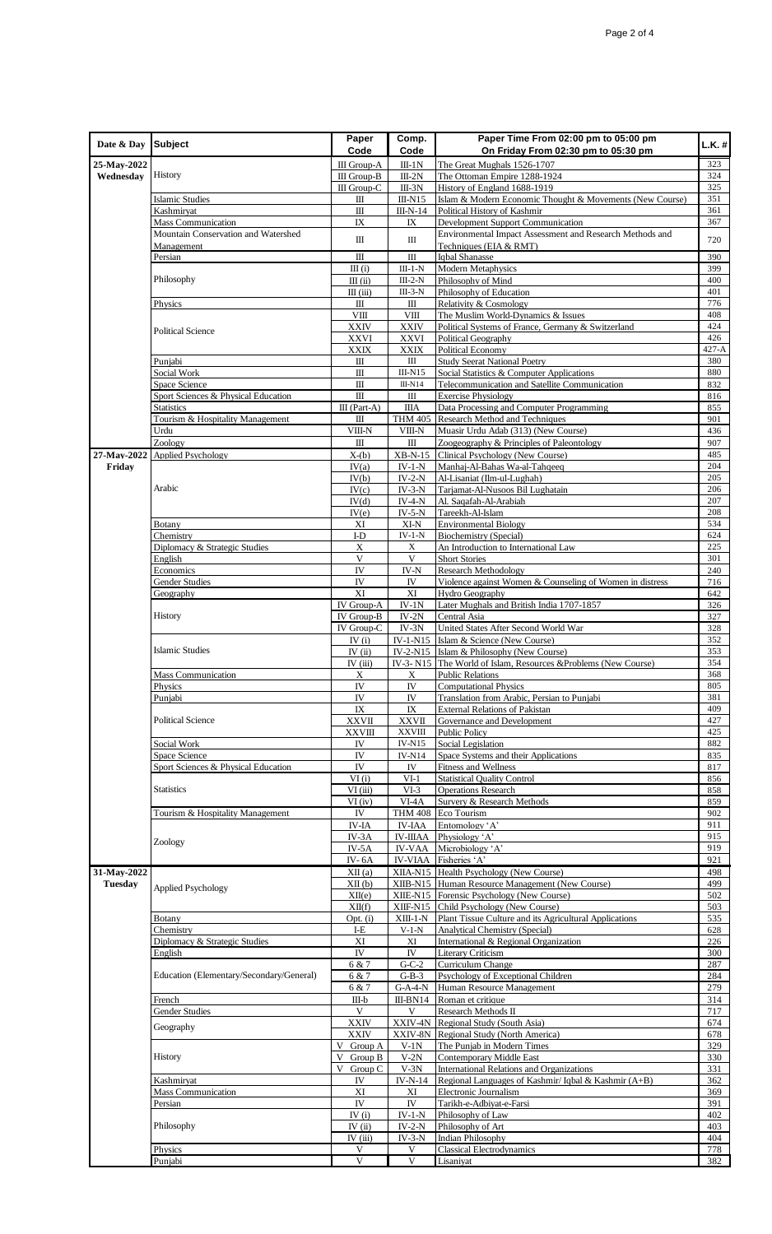| Date & Day     | Subject                                  | Paper<br>Code                | Comp.<br>Code                   | Paper Time From 02:00 pm to 05:00 pm<br>On Friday From 02:30 pm to 05:30 pm                | $L.K.$ #   |
|----------------|------------------------------------------|------------------------------|---------------------------------|--------------------------------------------------------------------------------------------|------------|
| 25-May-2022    |                                          | III Group-A                  | $III-1 N$                       | The Great Mughals 1526-1707                                                                | 323        |
| Wednesdav      | History                                  | III Group-B                  | $III-2N$                        | The Ottoman Empire 1288-1924                                                               | 324        |
|                |                                          | III Group-C                  | III-3N                          | History of England 1688-1919                                                               | 325        |
|                | <b>Islamic Studies</b>                   | Ш                            | $III-N15$                       | Islam & Modern Economic Thought & Movements (New Course)                                   | 351        |
|                | Kashmiryat<br>Mass Communication         | Ш<br>IX                      | $III-N-14$<br>IX                | Political History of Kashmir<br>Development Support Communication                          | 361<br>367 |
|                | Mountain Conservation and Watershed      |                              |                                 | Environmental Impact Assessment and Research Methods and                                   |            |
|                | Management                               | Ш                            | Ш                               | Fechniques (EIA & RMT)                                                                     | 720        |
|                | Persian                                  | Ш                            | Ш                               | <b>Igbal Shanasse</b>                                                                      | 390        |
|                |                                          | III (i)                      | $III-1-N$                       | <b>Modern Metaphysics</b>                                                                  | 399        |
|                | Philosophy                               | III (ii)                     | $III-2-N$<br>$III-3-N$          | Philosophy of Mind                                                                         | 400<br>401 |
|                |                                          | III(iii)<br>Ш                | ΠI                              | Philosophy of Education<br>Relativity & Cosmology                                          | 776        |
|                | Physics                                  | VШ                           | VIII                            | The Muslim World-Dynamics & Issues                                                         | 408        |
|                | Political Science                        | XXIV                         | XXIV                            | Political Systems of France, Germany & Switzerland                                         | 424        |
|                |                                          | XXVI                         | <b>XXVI</b>                     | Political Geography                                                                        | 426        |
|                |                                          | XXIX                         | XXIX                            | Political Economy                                                                          | 427-A      |
|                | Punjabi                                  | Ш<br>Ш                       | Ш<br>$III-N15$                  | <b>Study Seerat National Poetry</b>                                                        | 380<br>880 |
|                | Social Work<br>Space Science             | Ш                            | $III-N14$                       | Social Statistics & Computer Applications<br>Telecommunication and Satellite Communication | 832        |
|                | Sport Sciences & Physical Education      | Ш                            | Ш                               | <b>Exercise Physiology</b>                                                                 | 816        |
|                | <b>Statistics</b>                        | III (Part-A)                 | <b>IIIA</b>                     | Data Processing and Computer Programming                                                   | 855        |
|                | Tourism & Hospitality Management         | Ш                            | <b>THM 405</b>                  | Research Method and Technique                                                              | 901        |
|                | Urdu                                     | VIII-N                       | $VIII-N$                        | Muasir Urdu Adab (313) (New Course)                                                        | 436        |
|                | Zoology                                  | Ш                            | ΠI                              | Zoogeography & Principles of Paleontology                                                  | 907        |
| 27-May-2022    | <b>Applied Psychology</b>                | $X-(b)$                      | XB-N-15                         | Clinical Psychology (New Course)                                                           | 485        |
| Friday         |                                          | IV(a)<br>IV(b)               | $IV-1-N$<br>$IV-2-N$            | Manhaj-Al-Bahas Wa-al-Tahqeeq<br>Al-Lisaniat (Ilm-ul-Lughah)                               | 204<br>205 |
|                | Arabic                                   | IV(c)                        | $IV-3-N$                        | Tarjamat-Al-Nusoos Bil Lughatain                                                           | 206        |
|                |                                          | IV(d)                        | $IV-4-N$                        | Al. Saqafah-Al-Arabiah                                                                     | 207        |
|                |                                          | IV(e)                        | $IV-5-N$                        | Tareekh-Al-Islam                                                                           | 208        |
|                | Botany                                   | XI                           | XI-N                            | <b>Environmental Biology</b>                                                               | 534        |
|                | Chemistry                                | I-D                          | $IV-1-N$                        | Biochemistry (Special)                                                                     | 624        |
|                | Diplomacy & Strategic Studies<br>English | X<br>V                       | X<br>$\mathbf v$                | An Introduction to International Law                                                       | 225<br>301 |
|                | Economics                                | <b>IV</b>                    | IV-N                            | <b>Short Stories</b><br><b>Research Methodology</b>                                        | 240        |
|                | <b>Gender Studies</b>                    | <b>IV</b>                    | <b>IV</b>                       | Violence against Women & Counseling of Women in distress                                   | 716        |
|                | Geography                                | XI                           | XI                              | Hydro Geography                                                                            | 642        |
|                |                                          | IV Group-A                   | $IV-1N$                         | Later Mughals and British India 1707-1857                                                  | 326        |
|                | History                                  | IV Group-B                   | $IV-2N$                         | Central Asia                                                                               | 327        |
|                |                                          | IV Group-C                   | $IV-3N$                         | United States After Second World War                                                       | 328        |
|                | <b>Islamic Studies</b>                   | IV (i)<br>$IV$ $(ii)$        | $IV-I-N15$<br>IV-2-N15          | Islam & Science (New Course)<br>Islam & Philosophy (New Course)                            | 352<br>353 |
|                |                                          | IV (iii)                     | IV-3-N15                        | The World of Islam, Resources &Problems (New Course)                                       | 354        |
|                | <b>Mass Communication</b>                |                              |                                 | <b>Public Relations</b>                                                                    | 368        |
|                | Physics                                  | <b>IV</b>                    | <b>IV</b>                       | <b>Computational Physics</b>                                                               | 805        |
|                | Puniabi                                  | IV                           | IV                              | Translation from Arabic, Persian to Punjabi                                                | 381        |
|                |                                          | IX                           | IX                              | <b>External Relations of Pakistan</b>                                                      | 409        |
|                | <b>Political Science</b>                 | XXVII                        | XXVII                           | Governance and Development                                                                 | 427<br>425 |
|                | Social Work                              | XXVIII<br>IV                 | <b>XXVIII</b><br><b>IV-N15</b>  | <b>Public Policy</b><br>Social Legislation                                                 | 882        |
|                | Space Science                            | <b>IV</b>                    | <b>IV-N14</b>                   | Space Systems and their Applications                                                       | 835        |
|                | Sport Sciences & Physical Education      | IV                           | <b>IV</b>                       | Fitness and Wellness                                                                       | 817        |
|                |                                          | VI (i)                       | $VI-1$                          | <b>Statistical Quality Control</b>                                                         | 856        |
|                | <b>Statistics</b>                        | VI (iii)                     | $VI-3$                          | <b>Operations Research</b>                                                                 | 858        |
|                |                                          | VI (iv)<br><b>IV</b>         | $VI-4A$                         | Survery & Research Methods                                                                 | 859<br>902 |
|                | Tourism & Hospitality Management         | IV-IA                        | <b>THM 408</b><br><b>IV-JAA</b> | Eco Tourism<br>Entomology 'A                                                               | 911        |
|                |                                          | $IV-3A$                      | <b>IV-IIIAA</b>                 | Physiology 'A                                                                              | 915        |
|                | Zoology                                  | $IV-5A$                      | <b>IV-VAA</b>                   | Microbiology 'A                                                                            | 919        |
|                |                                          | IV-6A                        | <b>IV-VIAA</b>                  | Fisheries 'A                                                                               | 921        |
| 31-May-2022    |                                          | XII (a)                      | XIIA-N15                        | Health Psychology (New Course)                                                             | 498        |
| <b>Tuesday</b> | <b>Applied Psychology</b>                | XII(b)                       | <b>XIIB-N15</b>                 | Human Resource Management (New Course)                                                     | 499        |
|                |                                          | XII(e)<br>XII(f)             | XIIE-N15<br>XIIF-N15            | Forensic Psychology (New Course)                                                           | 502<br>503 |
|                | Botany                                   | Opt. (i)                     | XIII-1-N                        | Child Psychology (New Course)<br>Plant Tissue Culture and its Agricultural Applications    | 535        |
|                | Chemistry                                | LE.                          | $V-1-N$                         | Analytical Chemistry (Special)                                                             | 628        |
|                | Diplomacy & Strategic Studies            | XI                           | XI                              | International & Regional Organization                                                      | 226        |
|                | Enelish                                  | <b>IV</b>                    | <b>IV</b>                       | <b>Literary Criticism</b>                                                                  | 300        |
|                | Education (Elementary/Secondary/General) | 6 & 7                        | $G-C-2$                         | Curriculum Change                                                                          | 287        |
|                |                                          | 6 & 7                        | $G-B-3$                         | Psychology of Exceptional Children                                                         | 284        |
|                | French                                   | 6 & 7<br>III-b               | $G-A-A-N$                       | Human Resource Management<br>III-BN14 Roman et critique                                    | 279<br>314 |
|                | <b>Gender Studies</b>                    | v                            | V                               | Research Methods II                                                                        | 717        |
|                |                                          | XXIV                         | XXIV-4N                         | Regional Study (South Asia)                                                                | 674        |
|                | Geography                                | XXIV                         | XXIV-8N                         | Regional Study (North America)                                                             | 678        |
|                |                                          | $\mathbf{V}$<br>Group A      | $V-1N$                          | The Punjab in Modern Times                                                                 | 329        |
|                | History                                  | V Group B                    | $V-2N$                          | Contemporary Middle East                                                                   | 330        |
|                |                                          | V Group C                    | $V-3N$                          | International Relations and Organizations                                                  | 331        |
|                | Kashmiryat<br><b>Mass Communication</b>  | IV<br>XI                     | IV-N-14<br>XI                   | Regional Languages of Kashmir/ Iqbal & Kashmir (A+B)<br>Electronic Journalism              | 362<br>369 |
|                | Persian                                  | <b>IV</b>                    | <b>IV</b>                       | Tarikh-e-Adbiyat-e-Farsi                                                                   | 391        |
|                |                                          | $IV($ i                      | $IV-1-N$                        | Philosophy of Law                                                                          | 402        |
|                | Philosophy                               | IV (ii)                      | $IV-2-N$                        | Philosophy of Art                                                                          | 403        |
|                |                                          | IV (iii)                     | $IV-3-N$                        | <b>Indian Philosophy</b>                                                                   | 404        |
|                | Physics                                  | v<br>$\overline{\mathbf{v}}$ | v<br>$\overline{\mathbf{v}}$    | <b>Classical Electrodynamics</b>                                                           | 778<br>382 |
|                | Puniabi                                  |                              |                                 | Lisaniyat                                                                                  |            |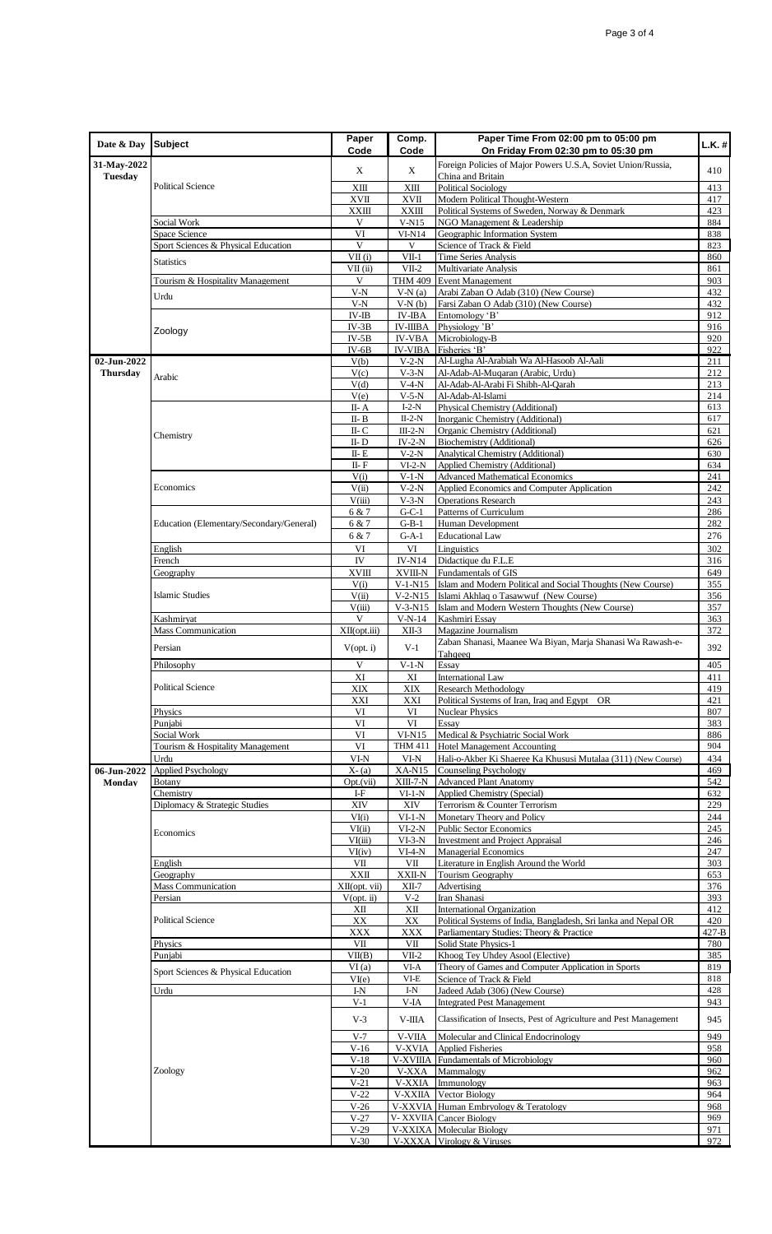| Date & Day             | Subject                                  | Paper<br>Code      | Comp.<br>Code                    | Paper Time From 02:00 pm to 05:00 pm<br>On Friday From 02:30 pm to 05:30 pm            | $L.K.$ #   |
|------------------------|------------------------------------------|--------------------|----------------------------------|----------------------------------------------------------------------------------------|------------|
| 31-May-2022<br>Tuesday |                                          | X                  | X                                | Foreign Policies of Major Powers U.S.A, Soviet Union/Russia,<br>China and Britain      | 410        |
|                        | <b>Political Science</b>                 | XIII               | XIII                             | <b>Political Sociology</b>                                                             | 413        |
|                        |                                          | XVII               | <b>XVII</b>                      | Modern Political Thought-Western                                                       | 417        |
|                        |                                          | XXIII              | XXIII                            | Political Systems of Sweden, Norway & Denmark                                          | 423        |
|                        | Social Work                              | V                  | $V-N15$                          | NGO Management & Leadership                                                            | 884        |
|                        | Space Science                            | VI<br>V            | $VI-N14$<br>V                    | Geographic Information System                                                          | 838<br>823 |
|                        | Sport Sciences & Physical Education      | VII(i)             | $VII-1$                          | Science of Track & Field<br>Time Series Analysis                                       | 860        |
|                        | <b>Statistics</b>                        | VII (ii)           | $VII-2$                          | Multivariate Analysis                                                                  | 861        |
|                        | Tourism & Hospitality Management         |                    | <b>THM 409</b>                   | <b>Event Management</b>                                                                | 903        |
|                        | Urdu                                     | V.N                | $V-N(a)$                         | Arabi Zaban O Adab (310) (New Course)                                                  | 432        |
|                        |                                          | $V-N$              | $V-N(b)$                         | Farsi Zaban O Adab (310) (New Course)                                                  | 432        |
|                        |                                          | IV-IB              | <b>IV-IBA</b>                    | Entomology 'B'                                                                         | 912        |
|                        | Zoology                                  | $IV-3B$<br>$IV-5B$ | <b>IV-IIIBA</b><br><b>IV-VBA</b> | Physiology 'B'<br>Microbiology-B                                                       | 916<br>920 |
|                        |                                          | $IV-6B$            | <b>IV-VIBA</b>                   | Fisheries 'B                                                                           | 922        |
| 02-Jun-2022            |                                          | V(b)               | $V-2-N$                          | Al-Lugha Al-Arabiah Wa Al-Hasoob Al-Aali                                               | 211        |
| <b>Thursday</b>        |                                          | V(c)               | $V-3-N$                          | Al-Adab-Al-Muqaran (Arabic, Urdu)                                                      | 212        |
|                        | Arabic                                   | V(d)               | $V - A - N$                      | Al-Adab-Al-Arabi Fi Shibh-Al-Qarah                                                     | 213        |
|                        |                                          | V(e)               | $V-5-N$                          | Al-Adab-Al-Islami                                                                      | 214        |
|                        |                                          | II-A               | $I-2-N$                          | Physical Chemistry (Additional)                                                        | 613        |
|                        |                                          | II-B<br>ILC        | $II-2-N$                         | Inorganic Chemistry (Additional)                                                       | 617        |
|                        | Chemistry                                | IL D               | $III-2-N$<br>$IV-2-N$            | Organic Chemistry (Additional)<br>Biochemistry (Additional)                            | 621<br>626 |
|                        |                                          | II- E              | $V-2-N$                          | Analytical Chemistry (Additional)                                                      | 630        |
|                        |                                          | II-F               | $VI-2-N$                         | Applied Chemistry (Additional)                                                         | 634        |
|                        |                                          | V(i)               | $V-1-N$                          | <b>Advanced Mathematical Economi</b>                                                   | 241        |
|                        | Economics                                | V(ii)              | $V-2-N$                          | Applied Economics and Computer Application                                             | 242        |
|                        |                                          | V(iii)             | $V-3-N$                          | <b>Operations Research</b>                                                             | 243        |
|                        |                                          | 6 & 7              | $G-C-1$                          | Patterns of Curriculum                                                                 | 286        |
|                        | Education (Elementary/Secondary/General) | 6 & 7              | $G-B-1$                          | Human Development                                                                      | 282        |
|                        |                                          | 6 & 7              | $G-A-1$                          | <b>Educational Law</b>                                                                 | $276\,$    |
|                        | English                                  | VI<br>IV           | VI<br><b>IV-N14</b>              | Linguistics                                                                            | 302<br>316 |
|                        | French<br>Geography                      | XVIII              | XVIII-N                          | Didactique du F.L.E<br>Fundamentals of GIS                                             | 649        |
|                        |                                          | V(i)               | $V-1-N15$                        | Islam and Modern Political and Social Thoughts (New Course)                            | 355        |
|                        | <b>Islamic Studies</b>                   | V(i)               | $V-2-N15$                        | Islami Akhlaq o Tasawwuf (New Course)                                                  | 356        |
|                        |                                          | V(iii)             | $V-3-N15$                        | Islam and Modern Western Thoughts (New Course)                                         | 357        |
|                        | Kashmiryat                               | v                  | $V-N-14$                         | Kashmiri Essay                                                                         | 363        |
|                        | Mass Communication                       | XII(opt.iii)       | $XII-3$                          | Magazine Journalism                                                                    | 372        |
|                        | Persian                                  | $V$ (opt. i)       | $V-1$                            | Zaban Shanasi, Maanee Wa Biyan, Marja Shanasi Wa Rawash-e-                             | 392        |
|                        | Philosophy                               | $\overline{V}$     | $V-1-N$                          | Tahqeeq<br>Essay                                                                       | 405        |
|                        |                                          | XI                 | XI                               | <b>International Law</b>                                                               | 411        |
|                        | <b>Political Science</b>                 | XIX                | XIX                              | <b>Research Methodology</b>                                                            | 419        |
|                        |                                          | XXI                | XXI                              | Political Systems of Iran, Iraq and Egypt OR                                           | 421        |
|                        | Physics                                  | VI                 | VI                               | <b>Nuclear Physics</b>                                                                 | 807        |
|                        | Punjabi                                  | VI                 | VI                               | Essay                                                                                  | 383        |
|                        | Social Work                              | VI                 | <b>VI-N15</b>                    | Medical & Psychiatric Social Work                                                      | 886        |
|                        | Tourism & Hospitality Management         | VI<br>VI-N         | <b>THM 411</b><br>VI-N           | <b>Hotel Management Accounting</b>                                                     | 904<br>434 |
| 06-Jun-2022            | Urdu<br><b>Applied Psychology</b>        | X- (a)             | XA-N15                           | Hali-o-Akber Ki Shaeree Ka Khususi Mutalaa (311) (New Course)<br>Counseling Psychology | 469        |
| Monday                 | Botany                                   | Opt.(vii)          | XIII-7-N                         | <b>Advanced Plant Anatomy</b>                                                          | 542        |
|                        | Chemistry                                | I-F                | $VI-1-N$                         | Applied Chemistry (Special)                                                            | 632        |
|                        | Diplomacy & Strategic Studies            | XIV                | XIV                              | Terrorism & Counter Terrorism                                                          | 229        |
|                        |                                          | VI(i)              | $VI-1-N$                         | Monetary Theory and Policy                                                             | 244        |
|                        | Economics                                | VI(ii)             | $VI-2-N$                         | <b>Public Sector Economics</b>                                                         | 245        |
|                        |                                          | VI(iii)            | $VI-3-N$                         | <b>Investment and Project Appraisal</b>                                                | 246        |
|                        |                                          | VI(iv)             | $VI-4-N$                         | Managerial Economics                                                                   | 247        |
|                        | English<br>Geography                     | VІ<br>XXII         | VІ<br>XXII-N                     | Literature in English Around the World<br><b>Tourism Geography</b>                     | 303<br>653 |
|                        | Mass Communication                       | XII(opt. vii)      | $XII-7$                          | Advertising                                                                            | 376        |
|                        | Persian                                  | V(opt. ii)         | V <sub>2</sub>                   | Iran Shanasi                                                                           | 393        |
|                        |                                          | XП                 | XII                              | <b>International Organization</b>                                                      | 412        |
|                        | <b>Political Science</b>                 | XX                 | XX                               | Political Systems of India, Bangladesh, Sri lanka and Nepal OR                         | 420        |
|                        |                                          | <b>XXX</b>         | XXX                              | Parliamentary Studies: Theory & Practice                                               | $427 - B$  |
|                        | Physics                                  | VІ                 | VІ                               | Solid State Physics-1                                                                  | 780        |
|                        | Punjab                                   | VII(B)<br>VI (a)   | VII-<br>VI-A                     | Khoog Tey Uhdey Asool (Elective)                                                       | 385<br>819 |
|                        | Sport Sciences & Physical Education      | VI(e)              | VI-E                             | Theory of Games and Computer Application in Sports<br>Science of Track & Field         | 818        |
|                        | Urdu                                     | ŀМ                 | I-N                              | Jadeed Adab (306) (New Course)                                                         | 428        |
|                        | Zoology                                  | $V-1$              | V-JA                             | <b>Integrated Pest Management</b>                                                      | 943        |
|                        |                                          | $V-3$              | V-IIIA                           | Classification of Insects, Pest of Agriculture and Pest Management                     | 945        |
|                        |                                          |                    |                                  |                                                                                        |            |
|                        |                                          | $V-7$              | V-VIIA                           | Molecular and Clinical Endocrinology                                                   | 949        |
|                        |                                          | $V-16$             | V-XVIA                           | <b>Applied Fisherie</b>                                                                | 958        |
|                        |                                          | $V-18$<br>$V-20$   | V-XVIIIA<br>V-XXA                | Fundamentals of Microbiology<br>Mammalogy                                              | 960<br>962 |
|                        |                                          | V.21               | V-XXIA                           | Immunology                                                                             | 963        |
|                        |                                          | $V-22$             | V-XXIIA                          | Vector Biology                                                                         | 964        |
|                        |                                          | $V - 26$           | V-XXVIA                          | Human Embryology & Teratology                                                          | 968        |
|                        |                                          | V.27               |                                  | V-XXVIIA Cancer Biology                                                                | 969        |
|                        |                                          | $V-29$             |                                  | V-XXIXA Molecular Biology                                                              | 971        |
|                        |                                          | $V-30$             |                                  | V-XXXA Virology & Viruses                                                              | 972        |